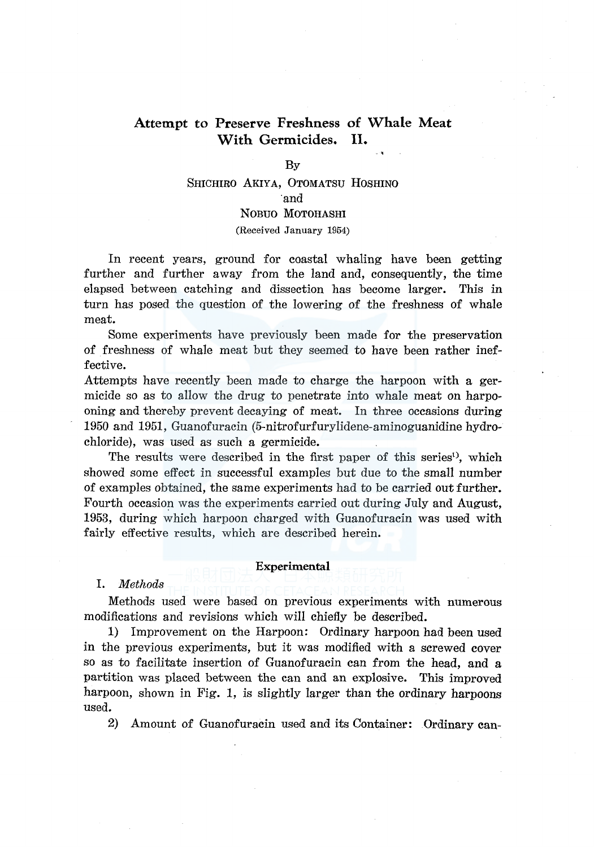# **Attempt to Preserve Freshness of Whale Meat With Germicides. II.**

# By

# SHICHIRO AKIYA, 0TOMATSU HOSHINO ·and NOBUO MOTOHASHI

(Received January 1954)

In recent years, ground for coastal whaling have been getting further and further away from the land and, consequently, the time elapsed between catching and dissection has become larger. This in turn has posed the question of the lowering of the freshness of whale meat.

Some experiments have previously been made for the preservation of freshness of whale meat but they seemed to have been rather ineffective.

Attempts have recently been made to charge the harpoon with a germicide so as to allow the drug to penetrate into whale meat on harpooning and thereby prevent decaying of meat. In three occasions during 1950 and 1951, Guanofuracin (5-nitrofurfurylidene-aminoguanidine hydrochloride), was used as such a germicide.

The results were described in the first paper of this series<sup>1</sup>, which showed some effect in successful examples but due to the small number of examples obtained, the same experiments had to be carried out further. Fourth occasion was the experiments carried out during July and August, 1953, during which harpoon charged with Guanofuracin was used with fairly effective results, which are described herein.

### **Experimental**

#### I. *Methods*

Methods used were based on previous experiments with numerous modifications and revisions which will chiefly be described.

1) Improvement on the Harpoon: Ordinary harpoon had been used in the previous experiments, but it was modified with a screwed cover so as to facilitate insertion of Guanofuracin can from the head, and a partition was placed between the can and an explosive. This improved harpoon, shown in Fig. 1, is slightly larger than the ordinary harpoons used.

2) Amount of Guanofuracin used and its Container: Ordinary can-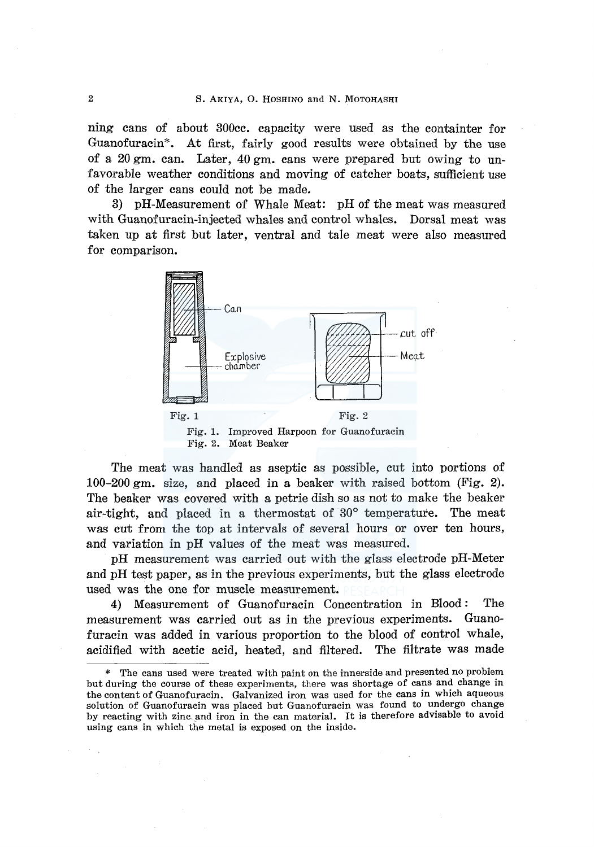ning cans of about 300cc. capacity were used as the containter for Guanofuracin\*. At first, fairly good results were obtained by the use of a 20 gm. can. Later, 40 gm. cans were prepared but owing to unfavorable weather conditions and moving of catcher boats, sufficient use of the larger cans could not be made.

3) pH-Measurement of Whale Meat: pH of the meat was measured with Guanofuracin-injected whales and control whales. Dorsal meat was taken up at first but later, ventral and tale meat were also measured for comparison.



The meat was handled as aseptic as possible, cut into portions of 100-200 gm. size, and placed in a beaker with raised bottom (Fig. 2). The beaker was covered with a petrie dish so as not to make the beaker air-tight, and placed in a thermostat of 30° temperature. The meat was cut from the top at intervals of several hours or over ten hours, and variation in pH values of the meat was measured.

pH measurement was carried out with the glass electrode pH-Meter and pH test paper, as in the previous experiments, but the glass electrode used was the one for muscle measurement.

4) Measurement of Guanofuracin Concentration in Blood: The measurement was carried out as in the previous experiments. Guanofuracin was added in various proportion to the blood of control whale, acidified with acetic acid, heated, and filtered. The filtrate was made

<sup>\*</sup> The cans used were treated with paint on the innerside and presented no problem but during the course of these experiments, there was shortage of cans and change in the content of Guanofuracin. Galvanized iron was used for the cans in which aqueous solution of Guanofuracin was placed but Guanofuracin was found to undergo change by reacting with zinc. and iron in the can material. It is therefore advisable to avoid using cans in which the metal is exposed on the inside.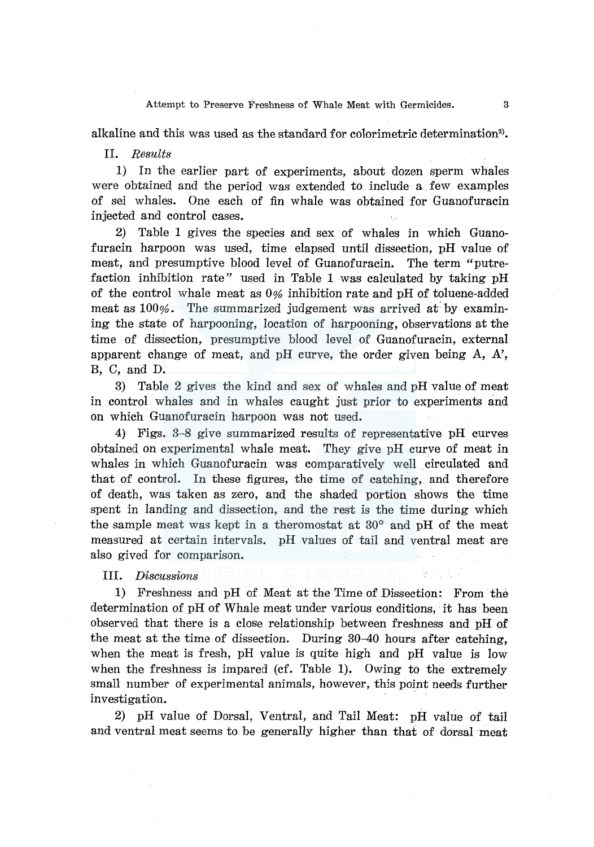#### Attempt to Preserve Freshness of Whale Meat with Germicides. 3

alkaline and this was used as the standard for colorimetric determination<sup>2</sup>).

#### II. *Results*

1) In the earlier part of experiments, about dozen sperm whales were obtained and the period was extended to include a few examples of sei whales. One each of fin whale was obtained for Guanofuracin injected and control cases.

2) Table 1 gives the species and sex of whales in which Guanofuracin harpoon was used, time elapsed until dissection, pH value of meat, and presumptive blood level of Guanofuracin. The term "putrefaction inhibition rate" used in Table 1 was calculated by taking pH of the control whale meat as 0% inhibition rate and pH of toluene-added meat as  $100\%$ . The summarized judgement was arrived at by examining the state of harpooning, location of harpooning, observations at the time of dissection, presumptive blood level of Guanofuracin, external apparent change of meat, and pH curve, the order given being A, A', B, C, and D.

3) Table 2 gives the kind and sex of whales and pH value of meat in control whales and in whales caught just prior to experiments and on which Guanofuracin harpoon was not used.

4) Figs. 3-8 give summarized results of representative pH curves obtained on experimental whale meat. They give pH curve of meat in whales in which Guanofuracin was comparatively well circulated and that of control. In these figures, the time of catching, and therefore of death, was taken as zero, and the shaded portion shows the time spent in landing and dissection, and the rest is the time during which the sample meat was kept in a theromostat at 30° and pH of the meat measured at certain intervals. pH values of tail and ventral meat are also gived for comparison.

# III. *Discussions*

1) Freshness and pH of Meat at the Time of Dissection: From the determination of pH of Whale meat under various conditions, it has been observed that there is a close relationship between freshness and pH of the meat at the time of dissection. During 30-40 hours after catching, when the meat is fresh, pH value is quite high and pH value is low when the freshness is impared (cf. Table 1). Owing to the extremely small number of experimental animals, however, this point needs further investigation.

2) pH value of Dorsal, Ventral, and Tail Meat: pH value of tail and ventral meat seems to be generally higher than that of dorsal meat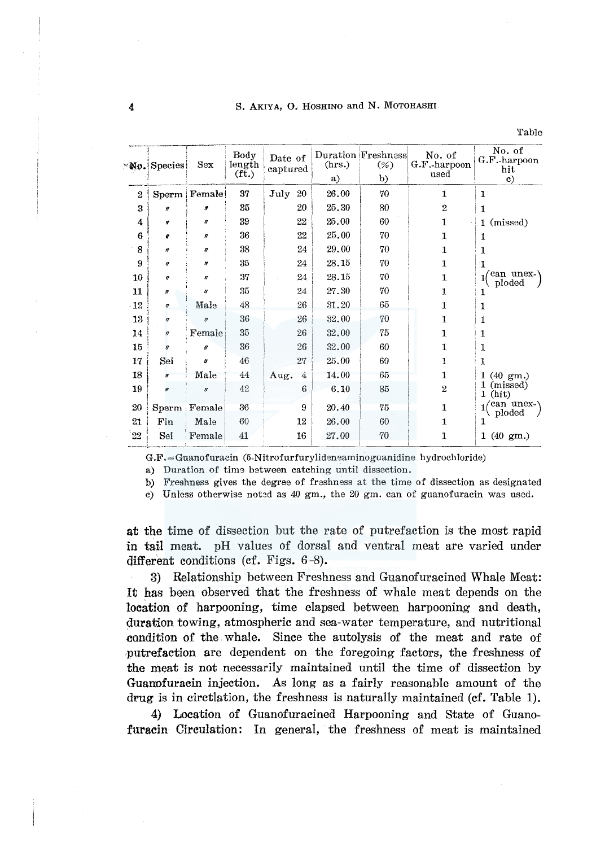S. AKIYA, O. HOSHINO and N. MOTOHASHI

|                | Mo. Species           | Body<br>length<br>Sex<br>$(f_t)$ |    | Date of<br>captured | (hrs.)<br>a) | Duration Freshness<br>(%<br>b) | No. of<br>G.F.-harpoon<br>used | No. of<br>G.F.-harpoon<br>hit |  |
|----------------|-----------------------|----------------------------------|----|---------------------|--------------|--------------------------------|--------------------------------|-------------------------------|--|
|                |                       |                                  |    |                     |              |                                |                                | c)                            |  |
| $\overline{2}$ |                       | Sperm   Female!                  | 37 | July<br>20          | 26.00        | 70                             | 1                              | 1                             |  |
| 3              | Ħ                     | ø                                | 35 | 20                  | 25.30        | 80                             | $\overline{2}$                 | 1                             |  |
| 4              | n                     | n                                | 39 | 22                  | 25.00        | 60                             | 1                              | 1 (missed)                    |  |
| 6              | o                     | n                                | 36 | 22                  | 25.00        | 70                             | 1                              | 1                             |  |
| 8              | Ħ                     | n                                | 38 | 24                  | 29.00        | 70                             | 1                              | 1                             |  |
| 9              | n                     | Ħ                                | 35 | 24                  | 28.15        | 70                             | 1                              | 1                             |  |
| 10             | u                     | n                                | 37 | 24                  | 28.15        | 70                             | 1                              | can unex-<br>ploded           |  |
| 11             | $\pmb{\sigma}$        | u                                | 35 | 24                  | 27.30        | 70                             | 1                              | ı                             |  |
| $-12$          | ŋ                     | Male                             | 48 | 26                  | 31.20        | 65                             | 1                              | 1                             |  |
| 13             | $\boldsymbol{\eta}$   | ť                                | 36 | 26                  | 32.00        | 70                             | 1                              | 1                             |  |
| 14             | $^{\prime\prime}$     | Female                           | 35 | 26                  | 32.00        | 75                             | $\mathbf{1}$                   | 1                             |  |
| 15             | $\boldsymbol{\theta}$ | $\boldsymbol{\theta}$            | 36 | 26                  | 32.00        | 60                             | 1                              | 1                             |  |
| 17             | Sei                   | o                                | 46 | 27                  | 25.00        | 60                             | 1                              | 1                             |  |
| 18             | ir                    | Male                             | 44 | 4<br>Aug.           | 14.00        | 65                             | $\mathbf{1}$                   | $1(40 \text{ gm.})$           |  |
| 19             | $\boldsymbol{B}$      | $\eta$                           | 42 | 6                   | 6.10         | 85                             | $\overline{2}$                 | 1 (missed)<br>(hit)<br>1      |  |
| 20             |                       | Sperm : Female                   | 36 | 9                   | 20.40        | 75                             | 1                              | /can unex-\<br>ploded         |  |
| 21             | Fin                   | Male                             | 60 | 12                  | 26.00        | 60                             | $\mathbf{1}$                   | 1                             |  |
| 22             | Sei                   | Female                           | 41 | 16                  | 27.00        | 70                             | 1                              | $1(40 \text{ gm.})$           |  |

G.F.=Guanofuracin (5-Nitrofurfurylideneaminoguanidine hydrochloride)

a) Duration of time between catching until dissection.

b) Freshness gives the degree of frashness at the time of dissection as designated

c) Unless otherwise noted as 40 gm., the 20 gm. can of guanofuracin was used.

at the time of dissection but the rate of putrefaction is the most rapid in tail meat. pH values of dorsal and ventral meat are varied under different conditions (cf. Figs. 6-8).

3) Relationship between Freshness and Guanofuracined Whale Meat: It has been observed that the freshness of whale meat depends on the location of harpooning, time elapsed between harpooning and death, duration towing, atmospheric and sea-water temperature, and nutritional condition of the whale. Since the autolysis of the meat and rate of putrefaction are dependent on the foregoing factors, the freshness of the meat is not necessarily maintained until the time of dissection by Guanofuracin injection. As long as a fairly reasonable amount of the drug is in circtlation, the freshness is naturally maintained (cf. Table 1).

4) Location of Guanofuracined Harpooning and State of Guanofuracin Circulation: In general, the freshness of meat is maintained

Table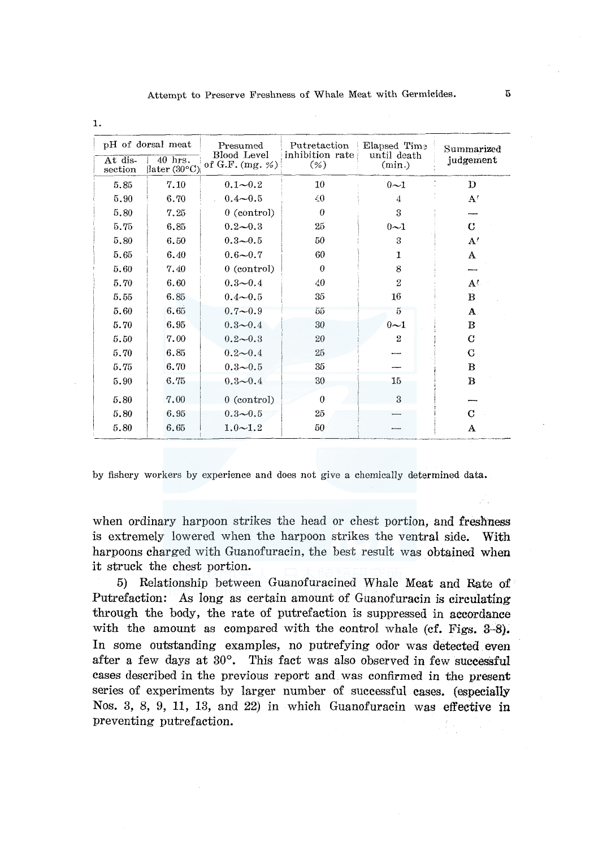| At dis- | pH of dorsal meat<br>40 hrs. | Presumed<br>Blood Level<br>of G.F. $(mg. % )$ | Putretaction<br>inhibition rate<br>$(\% )$ | Elapsed Time<br>until death | Summarized<br>judgement |  |
|---------|------------------------------|-----------------------------------------------|--------------------------------------------|-----------------------------|-------------------------|--|
| section | later (30°C)                 |                                               |                                            | (min.)                      |                         |  |
| 5.85    | 7.10                         | $0.1 - 0.2$                                   | 10                                         | $0\sim1$                    | D                       |  |
| 5.90    | 6.70                         | $0.4 - 0.5$                                   | 40                                         | 4                           | A'                      |  |
| 5.80    | 7.25                         | $0$ (control)                                 | $\Omega$                                   | 3                           |                         |  |
| 5.75    | 6.85                         | $0.2 - 0.3$                                   | 25                                         | $0 - 1$                     | C                       |  |
| 5.80    | 6.50                         | $0.3 - 0.5$                                   | 50                                         | 3                           | A'                      |  |
| 5.65    | 6.40                         | $0.6 - 0.7$                                   | 60                                         | 1                           | A                       |  |
| 5.60    | 7.40                         | $0$ (control)                                 | $\theta$                                   | 8                           |                         |  |
| 5.70    | 6.60                         | $0.3 - 0.4$                                   | 40                                         | $\overline{2}$              | $A^t$                   |  |
| 5.55    | 6.85                         | $0.4 - 0.5$                                   | 35                                         | 16                          | $\bf{B}$                |  |
| 5.60    | 6.65                         | $0.7 - 0.9$                                   | 55                                         | 5                           | A                       |  |
| 5.70    | 6.95                         | $0.3 - 0.4$                                   | 30                                         | $0 - 1$                     | в                       |  |
| 5.50    | 7.00                         | $0.2 - 0.3$                                   | 20                                         | $\overline{2}$              | C                       |  |
| 5.70    | 6.85                         | $0.2 - 0.4$                                   | 25                                         |                             | G                       |  |
| 5.75    | 6.70                         | $0.3 - 0.5$                                   | 35                                         |                             | B                       |  |
| 5.90    | 6.75                         | $0.3 - 0.4$                                   | 30                                         | 15 <sub>1</sub>             | $\bf{B}$                |  |
| 5.80    | 7.00                         | $0$ (control)                                 | $\theta$                                   | 3                           |                         |  |
| 5.80    | 6.95                         | $0.3 - 0.5$                                   | 25                                         |                             | C                       |  |
| 5.80    | 6.65                         | $1.0 - 1.2$                                   | 50                                         |                             | A                       |  |

by fishery workers by experience and does not give a chemically determined data.

when ordinary harpoon strikes the head or chest portion, and freshness is extremely lowered when the harpoon strikes the ventral side. With harpoons charged with Guanofuracin, the best result was obtained when it struck the chest portion.

5) Relationship between Guanofuracined Whale Meat and Rate of Putrefaction: As long as certain amount of Guanofuracin is circulating through the body, the rate of putrefaction is suppressed in accordance with the amount as compared with the control whale (cf. Figs.  $3-8$ ). In some outstanding examples, no putrefying odor was detected even after a few days at 30°. This fact was also observed in few successful cases described in the previous report and was confirmed in the present series of experiments by larger number of successful cases. (especially Nos. 3, 8, 9, 11, 13, and 22) in which Guanofuracin was effective in preventing putrefaction.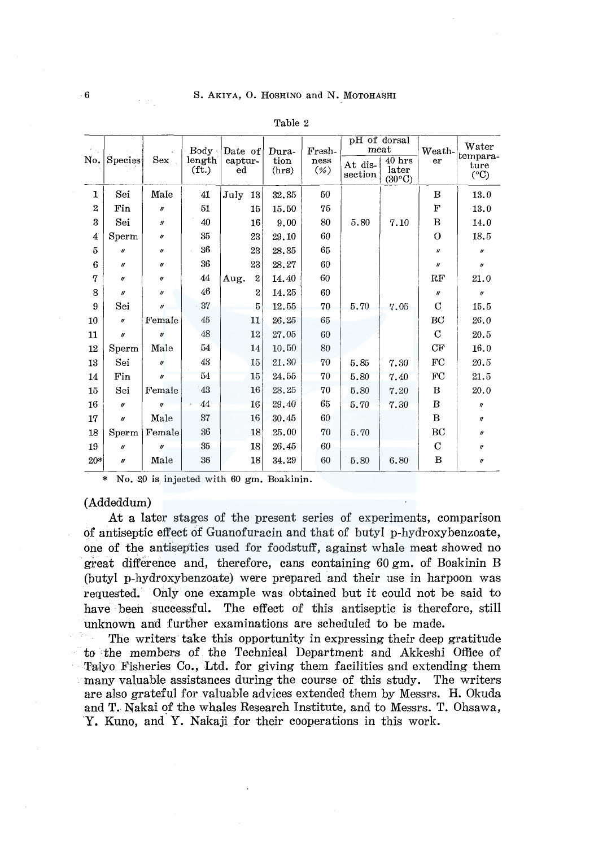| No.            | Species               | Sex                 | Body -<br>length <sub>1</sub><br>$({\rm ft.})$ | Date of<br>captur-<br>$_{\rm ed}$ |                 | Dura-<br>tion<br>(hrs) | Fresh-<br>ness<br>$(\% )$ | pH of dorsal<br>$_{\text{meat}}$ |                                      | Weath-                    | $\operatorname{Water}$            |
|----------------|-----------------------|---------------------|------------------------------------------------|-----------------------------------|-----------------|------------------------|---------------------------|----------------------------------|--------------------------------------|---------------------------|-----------------------------------|
|                |                       |                     |                                                |                                   |                 |                        |                           | At dis-<br>section               | $40$ hrs<br>later<br>$(30^{\circ}C)$ | er                        | tempara-<br>ture<br>$(^{\circ}C)$ |
| 1              | Sei                   | Male                | 41                                             | July                              | 13 <sup>1</sup> | 32.35                  | 50                        |                                  |                                      | В                         | 13.0                              |
| $\overline{2}$ | Fin                   | II                  | 51                                             |                                   | 15              | 15.50                  | 75                        |                                  |                                      | F                         | 13.0                              |
| 3              | Sei                   | $\pmb{\eta}$        | 40                                             |                                   | 16              | 9.00                   | 80                        | 5.80                             | 7.10                                 | B                         | 14.0                              |
| 4              | Sperm                 | $^{\prime\prime}$   | 35                                             |                                   | 23              | 29.10                  | 60                        |                                  |                                      | $\Omega$                  | 18.5                              |
| 5              | $\boldsymbol{r}$      | $^{\prime\prime}$   | 36                                             |                                   | 23              | 28.35                  | 65                        |                                  |                                      | $\boldsymbol{\mathit{y}}$ | $\boldsymbol{H}$                  |
| 6              | $\theta$              | n                   | 36                                             |                                   | 23 <sup>°</sup> | 28.27                  | 60                        |                                  |                                      | $\boldsymbol{\eta}$       | $\boldsymbol{\eta}$               |
| 7              | $\boldsymbol{\eta}$   | $^{\prime\prime}$   | 44                                             | Aug.                              | $\mathbf{2}$    | 14,40                  | 60                        |                                  |                                      | RF                        | 21.0                              |
| 8              | $\mathbf{r}$          | $\eta$              | 46                                             |                                   | $\overline{2}$  | 14.25                  | 60                        |                                  |                                      | $\boldsymbol{H}$          | $\boldsymbol{\eta}$               |
| 9              | Sei                   | $\boldsymbol{u}$    | 37                                             |                                   | 5               | 12.55                  | 70                        | 5.70                             | 7.05                                 | $\mathbf C$               | 15.5                              |
| 10             | $\boldsymbol{\theta}$ | Female              | $45\,$                                         |                                   | 11              | 26.25                  | 65                        |                                  |                                      | $\operatorname{BC}$       | 26.0                              |
| 11             | $\boldsymbol{\eta}$   | $\boldsymbol{n}$    | 48                                             |                                   | 12              | 27.05                  | 60                        |                                  |                                      | $\mathbf C$               | 20.5                              |
| 12             | Sperm                 | Male                | 54                                             |                                   | 14              | 10.50                  | 80                        |                                  |                                      | CF                        | 16.0                              |
| 13             | Sei                   | $\boldsymbol{\eta}$ | 43                                             |                                   | 15              | 21.30                  | 70                        | 5.85                             | 7.30                                 | ${\rm FC}$                | 20.5                              |
| 14             | Fin                   | f)                  | 54                                             |                                   | 15              | 24.55                  | 70                        | 5.80                             | 7.40                                 | $_{\rm FC}$               | 21.5                              |
| 15             | Sei                   | Female              | 43                                             |                                   | 16              | 28.25                  | 70                        | 5.80                             | 7.20                                 | В                         | 20.0                              |
| 16             | $\eta$                | $\boldsymbol{U}$    | 44                                             |                                   | 16              | 29.40                  | 65                        | 5.70                             | 7.30                                 | В                         | $^{\prime\prime}$                 |
| 17             | $\boldsymbol{\mu}$    | Male                | 37                                             |                                   | 16              | 30.45                  | 60                        |                                  |                                      | B                         | $\boldsymbol{\eta}$               |
| 18             | Sperm                 | Female              | 36                                             |                                   | 18              | 25.00                  | 70                        | 5.70                             |                                      | BC                        | $\boldsymbol{\eta}$               |
| 19             | $\theta$              | $\boldsymbol{r}$    | 35                                             |                                   | 18              | 26.45                  | 60                        |                                  |                                      | C                         | $\boldsymbol{\eta}$               |
| $20*$          | $\eta$                | Male                | 36                                             |                                   | 18              | 34.29                  | 60                        | 5.80                             | 6.80                                 | В                         | $\boldsymbol{\eta}$               |

Table 2

\* No. 20 is injected with 60 gm. Boakinin.

#### (Addeddum)

At a later stages of the present series of experiments, comparison of antiseptic effect of Guanofuracin and that of butyl p-hydroxybenzoate, one of the antiseptics used for foodstuff, against whale meat showed no great difference and, therefore, cans containing 60 gm. of Boakinin B (butyl p-hydroxybenzoate) were prepared and their use in harpoon was requested. Only one example was obtained but it could not be said to have been successful. The effect of this antiseptic is therefore, still unknown and further examinations are scheduled to be made.

The writers take this opportunity in expressing their deep gratitude to the members of the Technical Department and Akkeshi Office of Taiyo Fisheries Co., Ltd. for giving them facilities and extending them many valuable assistances during the course of this study. The writers are also grateful for valuable advices extended them by Messrs. H. Okuda and T. Nakai of the whales Research Institute, and to Messrs. T. Ohsawa, Y. Kuno, and Y. Nakaji for their cooperations in this work.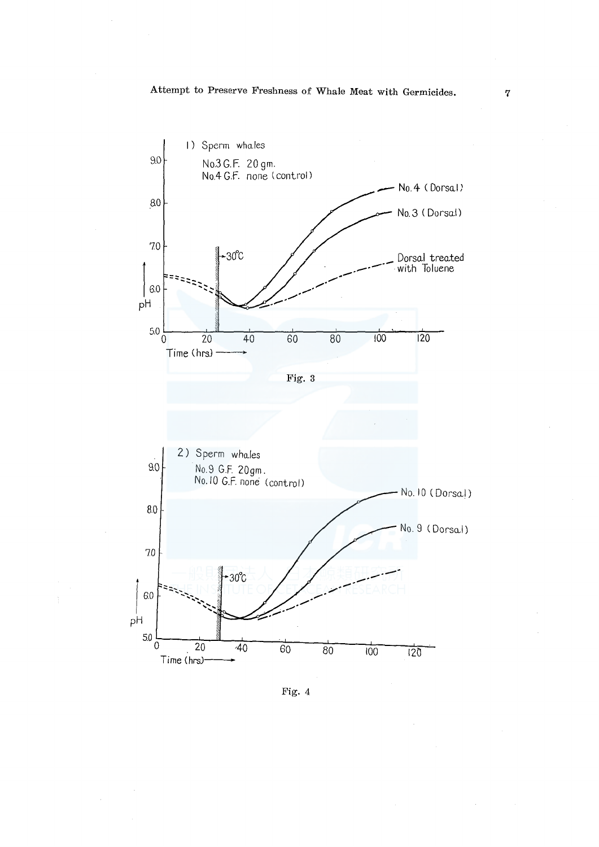

Fig. 4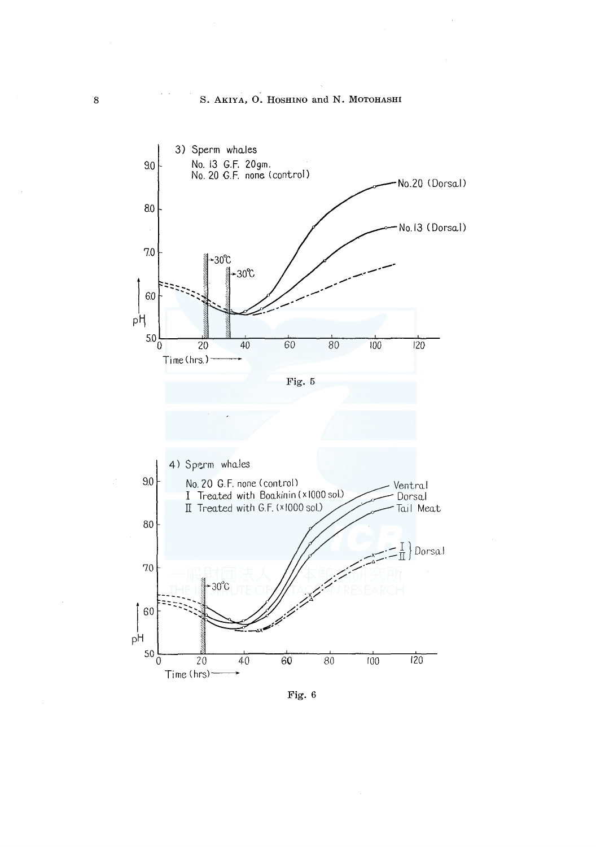

Fig. 6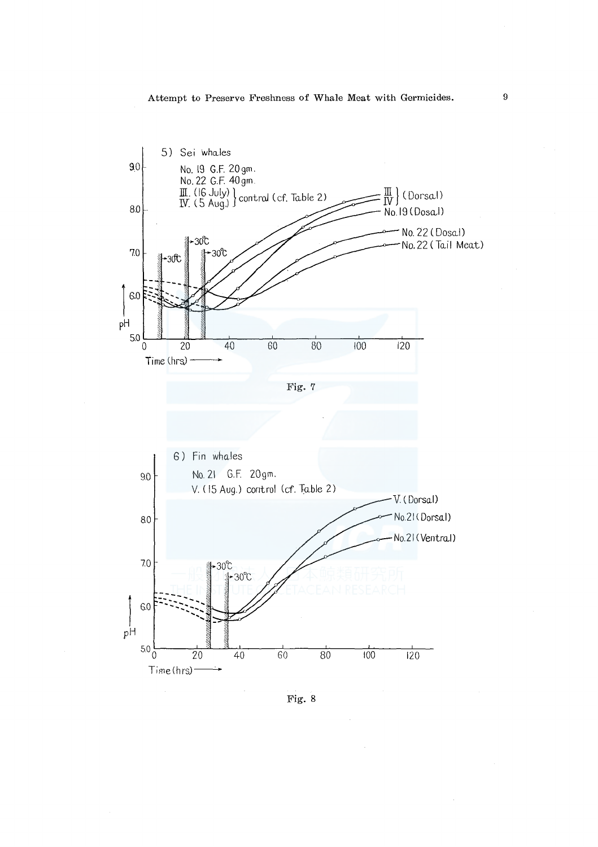

Fig. 8